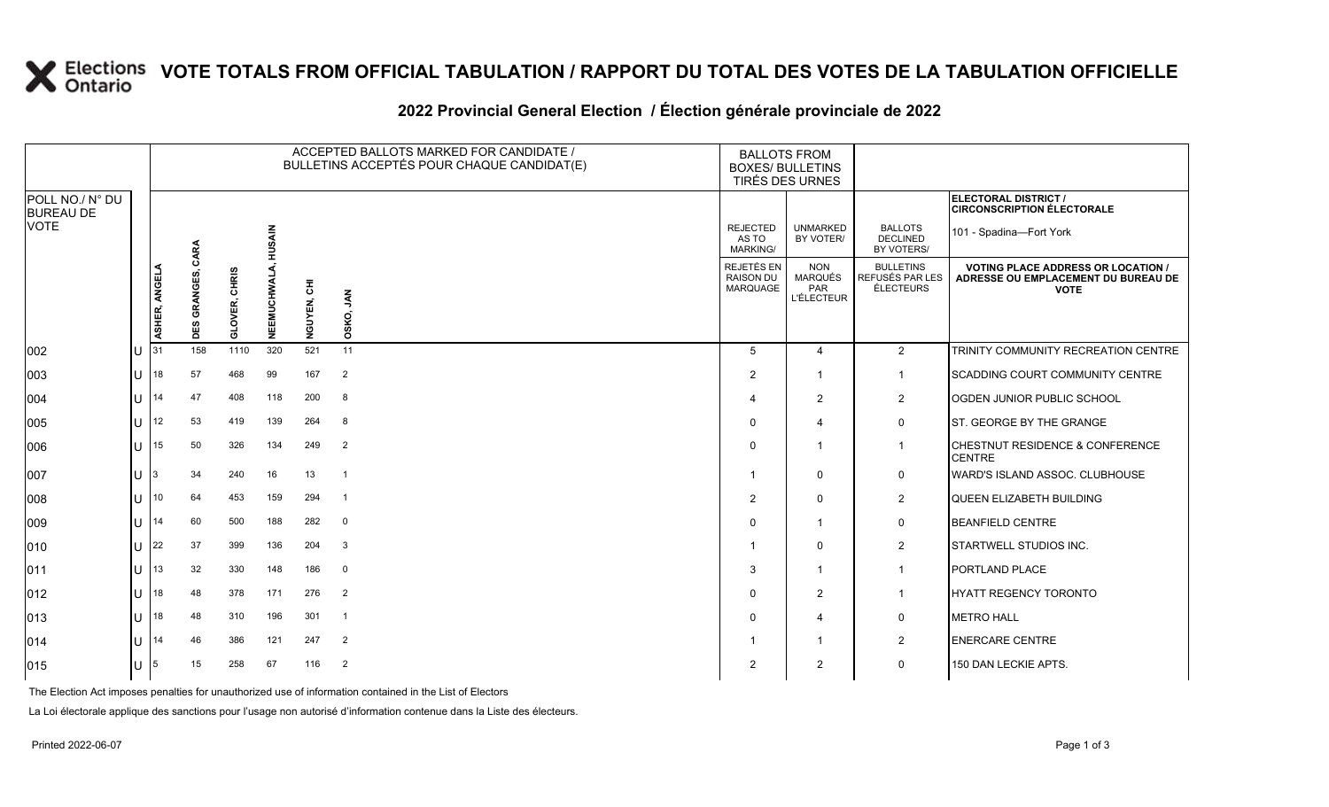## **X** Elections VOTE TOTALS FROM OFFICIAL TABULATION / RAPPORT DU TOTAL DES VOTES DE LA TABULATION OFFICIELLE

#### **2022 Provincial General Election / Élection générale provinciale de 2022**

|                                     |                |               | ACCEPTED BALLOTS MARKED FOR CANDIDATE /<br><b>BALLOTS FROM</b><br>BULLETINS ACCEPTÉS POUR CHAQUE CANDIDAT(E)<br><b>BOXES/ BULLETINS</b><br><b>TIRÉS DES URNES</b> |                         |           |             |                    |                                             |                                                   |                                                  |                                                                                                 |
|-------------------------------------|----------------|---------------|-------------------------------------------------------------------------------------------------------------------------------------------------------------------|-------------------------|-----------|-------------|--------------------|---------------------------------------------|---------------------------------------------------|--------------------------------------------------|-------------------------------------------------------------------------------------------------|
| POLL NO./ N° DU<br><b>BUREAU DE</b> |                |               |                                                                                                                                                                   |                         |           |             |                    |                                             |                                                   |                                                  | ELECTORAL DISTRICT /<br><b>CIRCONSCRIPTION ÉLECTORALE</b>                                       |
| <b>VOTE</b>                         |                |               | CARA                                                                                                                                                              |                         | HUSAIN    |             |                    | <b>REJECTED</b><br>AS TO<br><b>MARKING/</b> | <b>UNMARKED</b><br>BY VOTER/                      | <b>BALLOTS</b><br><b>DECLINED</b><br>BY VOTERS/  | 101 - Spadina-Fort York                                                                         |
|                                     |                | ASHER, ANGELA | <b>GRANGES,</b><br><b>DES</b>                                                                                                                                     | CHRIS<br><b>GLOVER,</b> | NEEMUCHWA | NGUYEN, CHI | <b>AN</b><br>OSKO, | REJETÉS EN<br>RAISON DU<br><b>MARQUAGE</b>  | <b>NON</b><br>MARQUÉS<br>PAR<br><b>L'ÉLECTEUR</b> | <b>BULLETINS</b><br>REFUSÉS PAR LES<br>ÉLECTEURS | <b>VOTING PLACE ADDRESS OR LOCATION /</b><br>ADRESSE OU EMPLACEMENT DU BUREAU DE<br><b>VOTE</b> |
| 002                                 | U              | 131           | 158                                                                                                                                                               | 1110                    | 320       | 521         | 11                 | 5                                           | $\overline{4}$                                    | $\overline{2}$                                   | TRINITY COMMUNITY RECREATION CENTRE                                                             |
| 003                                 | U              | 18            | 57                                                                                                                                                                | 468                     | 99        | 167         | $\overline{2}$     | $\overline{2}$                              | $\overline{\mathbf{1}}$                           | $\overline{1}$                                   | <b>SCADDING COURT COMMUNITY CENTRE</b>                                                          |
| 004                                 | $\bigcup$ 14   |               | 47                                                                                                                                                                | 408                     | 118       | 200         | 8                  |                                             | $\overline{2}$                                    | $\overline{2}$                                   | OGDEN JUNIOR PUBLIC SCHOOL                                                                      |
| 005                                 |                | U $ 12$       | 53                                                                                                                                                                | 419                     | 139       | 264         | - 8                |                                             | $\overline{4}$                                    | 0                                                | ST. GEORGE BY THE GRANGE                                                                        |
| 006                                 | U              | 15            | 50                                                                                                                                                                | 326                     | 134       | 249         | $\overline{2}$     | $\Omega$                                    | - 1                                               | $\mathbf{1}$                                     | <b>CHESTNUT RESIDENCE &amp; CONFERENCE</b><br><b>CENTRE</b>                                     |
| 007                                 | U              |               | 34                                                                                                                                                                | 240                     | 16        | 13          | $\overline{1}$     |                                             | 0                                                 | $\mathbf 0$                                      | WARD'S ISLAND ASSOC. CLUBHOUSE                                                                  |
| 008                                 | U              | 10            | 64                                                                                                                                                                | 453                     | 159       | 294         | $\overline{1}$     | 2                                           | $\mathbf 0$                                       | $\overline{2}$                                   | QUEEN ELIZABETH BUILDING                                                                        |
| 009                                 | $\bigcup$ 14   |               | 60                                                                                                                                                                | 500                     | 188       | 282         | $\overline{0}$     | $\Omega$                                    | $\overline{\mathbf{1}}$                           | $\mathbf 0$                                      | <b>BEANFIELD CENTRE</b>                                                                         |
| 010                                 | U              | 22            | 37                                                                                                                                                                | 399                     | 136       | 204         | 3                  |                                             | $\Omega$                                          | $\overline{2}$                                   | STARTWELL STUDIOS INC.                                                                          |
| 011                                 | U.             | 13            | 32                                                                                                                                                                | 330                     | 148       | 186         | $\mathbf 0$        | 3                                           | $\overline{1}$                                    | $\overline{1}$                                   | PORTLAND PLACE                                                                                  |
| 012                                 | $\lfloor$   18 |               | 48                                                                                                                                                                | 378                     | 171       | 276         | $\overline{2}$     | $\Omega$                                    | $\overline{2}$                                    | $\overline{1}$                                   | HYATT REGENCY TORONTO                                                                           |
| 013                                 |                | $U$ 18        | 48                                                                                                                                                                | 310                     | 196       | 301         | $\overline{1}$     | $\Omega$                                    | $\overline{4}$                                    | $\mathbf 0$                                      | <b>METRO HALL</b>                                                                               |
| 014                                 | $1J$ 14        |               | 46                                                                                                                                                                | 386                     | 121       | 247         | $\overline{2}$     |                                             | -1                                                | $\overline{2}$                                   | <b>ENERCARE CENTRE</b>                                                                          |
| 015                                 | U $ 5 $        |               | 15                                                                                                                                                                | 258                     | 67        | 116         | $\overline{2}$     | 2                                           | $\overline{2}$                                    | $\mathbf 0$                                      | 150 DAN LECKIE APTS.                                                                            |

The Election Act imposes penalties for unauthorized use of information contained in the List of Electors

La Loi électorale applique des sanctions pour l'usage non autorisé d'information contenue dans la Liste des électeurs.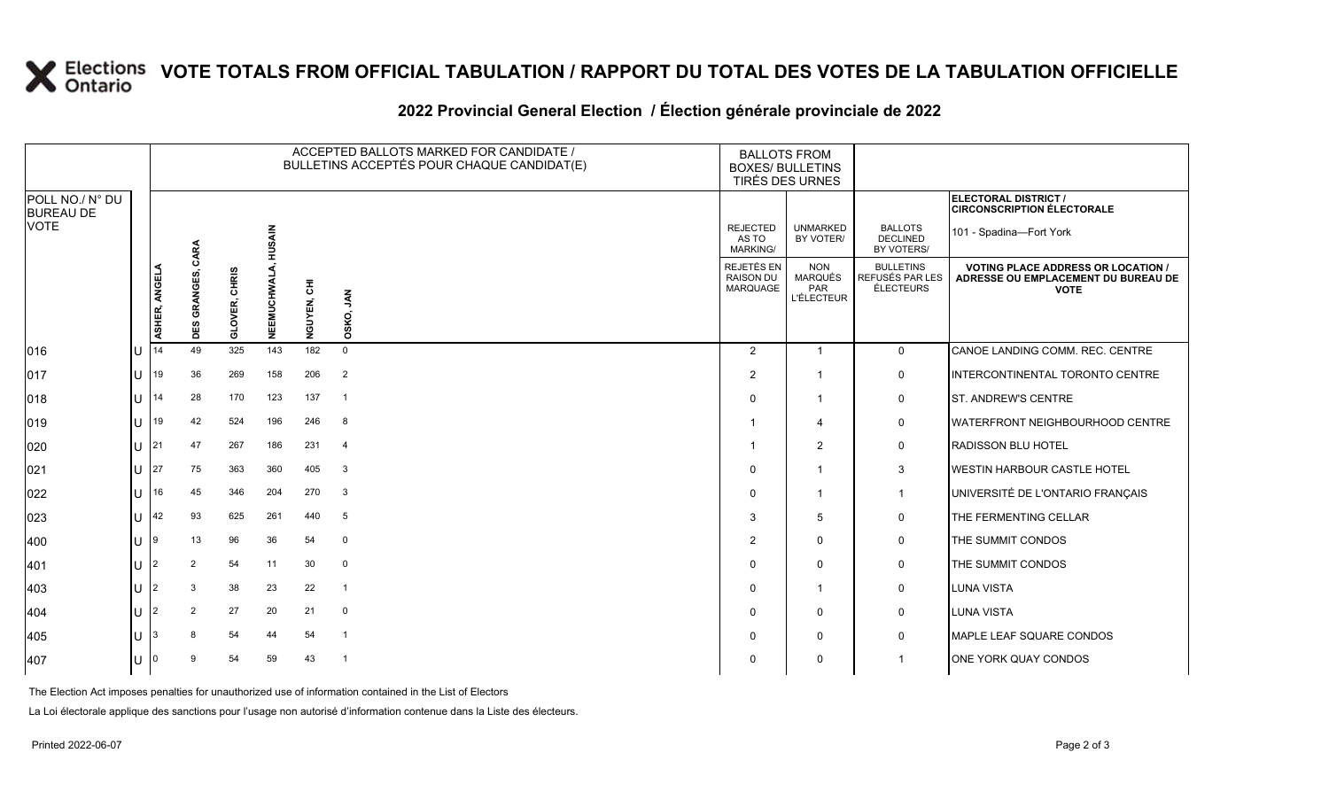## **X** Elections VOTE TOTALS FROM OFFICIAL TABULATION / RAPPORT DU TOTAL DES VOTES DE LA TABULATION OFFICIELLE

#### **2022 Provincial General Election / Élection générale provinciale de 2022**

|                                     |         |               |                 |                         |               | ACCEPTED BALLOTS MARKED FOR CANDIDATE /<br>BULLETINS ACCEPTÉS POUR CHAQUE CANDIDAT(E) | <b>BALLOTS FROM</b><br><b>BOXES/ BULLETINS</b><br>TIRÉS DES URNES |                                             |                                                          |                                                  |                                                                                                 |
|-------------------------------------|---------|---------------|-----------------|-------------------------|---------------|---------------------------------------------------------------------------------------|-------------------------------------------------------------------|---------------------------------------------|----------------------------------------------------------|--------------------------------------------------|-------------------------------------------------------------------------------------------------|
| POLL NO./ N° DU<br><b>BUREAU DE</b> |         |               |                 |                         |               |                                                                                       |                                                                   |                                             |                                                          |                                                  | <b>ELECTORAL DISTRICT /</b><br><b>CIRCONSCRIPTION ÉLECTORALE</b>                                |
| <b>VOTE</b>                         |         |               | CARA            |                         | <b>HUSAIN</b> |                                                                                       |                                                                   | <b>REJECTED</b><br>AS TO<br><b>MARKING/</b> | <b>UNMARKED</b><br>BY VOTER/                             | <b>BALLOTS</b><br><b>DECLINED</b><br>BY VOTERS/  | 101 - Spadina-Fort York                                                                         |
|                                     |         | ASHER, ANGELA | GRANGES,<br>DES | CHRIS<br><b>GLOVER,</b> | NEEMUCHWA     | NGUYEN, CHI                                                                           | <b>AN</b><br>OSKO,                                                | REJETÉS EN<br>RAISON DU<br>MARQUAGE         | <b>NON</b><br><b>MARQUÉS</b><br>PAR<br><b>L'ÉLECTEUR</b> | <b>BULLETINS</b><br>REFUSÉS PAR LES<br>ÉLECTEURS | <b>VOTING PLACE ADDRESS OR LOCATION /</b><br>ADRESSE OU EMPLACEMENT DU BUREAU DE<br><b>VOTE</b> |
| 016                                 | U       | 14            | 49              | 325                     | 143           | 182                                                                                   | $\Omega$                                                          | $\overline{2}$                              | $\overline{1}$                                           | $\mathbf{0}$                                     | CANOE LANDING COMM. REC. CENTRE                                                                 |
| 017                                 | lu      | 19            | 36              | 269                     | 158           | 206                                                                                   | $\overline{2}$                                                    | 2                                           |                                                          | 0                                                | INTERCONTINENTAL TORONTO CENTRE                                                                 |
| 018                                 | $U$ 14  |               | 28              | 170                     | 123           | 137                                                                                   | $\overline{1}$                                                    | $\Omega$                                    | $\mathbf{1}$                                             | 0                                                | ST. ANDREW'S CENTRE                                                                             |
| 019                                 | U       | 19            | 42              | 524                     | 196           | 246                                                                                   | 8                                                                 |                                             | 4                                                        | 0                                                | <b>WATERFRONT NEIGHBOURHOOD CENTRE</b>                                                          |
| 020                                 | $U$ 21  |               | 47              | 267                     | 186           | 231                                                                                   | $\overline{4}$                                                    |                                             | 2                                                        | 0                                                | <b>RADISSON BLU HOTEL</b>                                                                       |
| 021                                 |         | U 27          | 75              | 363                     | 360           | 405                                                                                   | $\mathbf{3}$                                                      | $\Omega$                                    | $\overline{\mathbf{1}}$                                  | $\mathbf{3}$                                     | <b>WESTIN HARBOUR CASTLE HOTEL</b>                                                              |
| 022                                 | U       | 16            | 45              | 346                     | 204           | 270                                                                                   | $\mathbf{3}$                                                      | $\Omega$                                    | $\overline{1}$                                           | $\overline{1}$                                   | UNIVERSITÉ DE L'ONTARIO FRANÇAIS                                                                |
| 023                                 | U       | 42            | 93              | 625                     | 261           | 440                                                                                   | 5                                                                 | 3                                           | $\overline{5}$                                           | 0                                                | THE FERMENTING CELLAR                                                                           |
| 400                                 | $U$  9  |               | 13              | 96                      | 36            | 54                                                                                    | $\mathbf 0$                                                       | $\overline{2}$                              | $\mathbf 0$                                              | 0                                                | THE SUMMIT CONDOS                                                                               |
| 401                                 | U       | l2            | 2               | 54                      | 11            | 30                                                                                    | $\mathbf 0$                                                       | $\Omega$                                    | $\mathbf 0$                                              | 0                                                | THE SUMMIT CONDOS                                                                               |
| 403                                 | lU.     | l2            | 3               | 38                      | 23            | 22                                                                                    | $\overline{1}$                                                    | $\Omega$                                    | $\overline{1}$                                           | 0                                                | LUNA VISTA                                                                                      |
| 404                                 | U 2     |               | 2               | 27                      | 20            | 21                                                                                    | $\mathbf 0$                                                       | $\Omega$                                    | 0                                                        | 0                                                | <b>LUNA VISTA</b>                                                                               |
| 405                                 | U       |               |                 | 54                      | 44            | 54                                                                                    | $\overline{1}$                                                    | $\Omega$                                    | $\mathbf 0$                                              | 0                                                | MAPLE LEAF SQUARE CONDOS                                                                        |
| 407                                 | $U$   0 |               |                 | 54                      | 59            | 43                                                                                    | $\overline{1}$                                                    | $\Omega$                                    | 0                                                        |                                                  | ONE YORK QUAY CONDOS                                                                            |

The Election Act imposes penalties for unauthorized use of information contained in the List of Electors

La Loi électorale applique des sanctions pour l'usage non autorisé d'information contenue dans la Liste des électeurs.